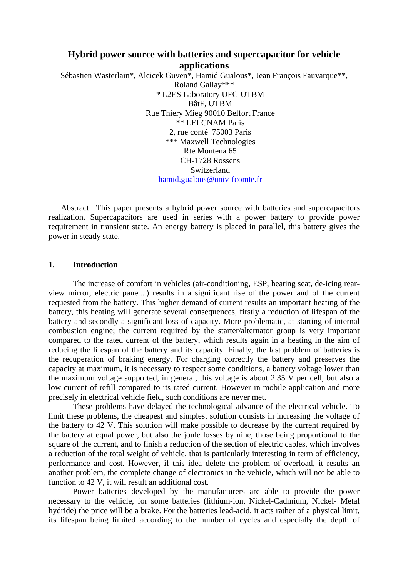# **Hybrid power source with batteries and supercapacitor for vehicle applications**

Sébastien Wasterlain\*, Alcicek Guven\*, Hamid Gualous\*, Jean François Fauvarque\*\*, Roland Gallay\*\*\* \* L2ES Laboratory UFC-UTBM BâtF, UTBM Rue Thiery Mieg 90010 Belfort France \*\* LEI CNAM Paris 2, rue conté 75003 Paris \*\*\* Maxwell Technologies Rte Montena 65 CH-1728 Rossens Switzerland [hamid.gualous@univ-fcomte.fr](mailto:hamid.gualous@univ-fcomte.fr)

Abstract : This paper presents a hybrid power source with batteries and supercapacitors realization. Supercapacitors are used in series with a power battery to provide power requirement in transient state. An energy battery is placed in parallel, this battery gives the power in steady state.

## **1. Introduction**

The increase of comfort in vehicles (air-conditioning, ESP, heating seat, de-icing rearview mirror, electric pane....) results in a significant rise of the power and of the current requested from the battery. This higher demand of current results an important heating of the battery, this heating will generate several consequences, firstly a reduction of lifespan of the battery and secondly a significant loss of capacity. More problematic, at starting of internal combustion engine; the current required by the starter/alternator group is very important compared to the rated current of the battery, which results again in a heating in the aim of reducing the lifespan of the battery and its capacity. Finally, the last problem of batteries is the recuperation of braking energy. For charging correctly the battery and preserves the capacity at maximum, it is necessary to respect some conditions, a battery voltage lower than the maximum voltage supported, in general, this voltage is about 2.35 V per cell, but also a low current of refill compared to its rated current. However in mobile application and more precisely in electrical vehicle field, such conditions are never met.

These problems have delayed the technological advance of the electrical vehicle. To limit these problems, the cheapest and simplest solution consists in increasing the voltage of the battery to 42 V. This solution will make possible to decrease by the current required by the battery at equal power, but also the joule losses by nine, those being proportional to the square of the current, and to finish a reduction of the section of electric cables, which involves a reduction of the total weight of vehicle, that is particularly interesting in term of efficiency, performance and cost. However, if this idea delete the problem of overload, it results an another problem, the complete change of electronics in the vehicle, which will not be able to function to 42 V, it will result an additional cost.

Power batteries developed by the manufacturers are able to provide the power necessary to the vehicle, for some batteries (lithium-ion, Nickel-Cadmium, Nickel- Metal hydride) the price will be a brake. For the batteries lead-acid, it acts rather of a physical limit, its lifespan being limited according to the number of cycles and especially the depth of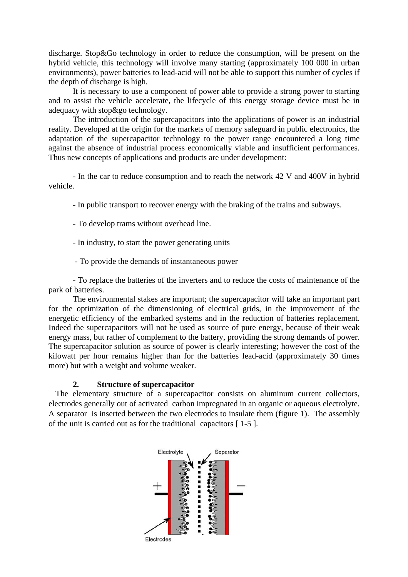discharge. Stop&Go technology in order to reduce the consumption, will be present on the hybrid vehicle, this technology will involve many starting (approximately 100 000 in urban environments), power batteries to lead-acid will not be able to support this number of cycles if the depth of discharge is high.

It is necessary to use a component of power able to provide a strong power to starting and to assist the vehicle accelerate, the lifecycle of this energy storage device must be in adequacy with stop&go technology.

The introduction of the supercapacitors into the applications of power is an industrial reality. Developed at the origin for the markets of memory safeguard in public electronics, the adaptation of the supercapacitor technology to the power range encountered a long time against the absence of industrial process economically viable and insufficient performances. Thus new concepts of applications and products are under development:

- In the car to reduce consumption and to reach the network 42 V and 400V in hybrid vehicle.

- In public transport to recover energy with the braking of the trains and subways.

- To develop trams without overhead line.

- In industry, to start the power generating units

- To provide the demands of instantaneous power

- To replace the batteries of the inverters and to reduce the costs of maintenance of the park of batteries.

The environmental stakes are important; the supercapacitor will take an important part for the optimization of the dimensioning of electrical grids, in the improvement of the energetic efficiency of the embarked systems and in the reduction of batteries replacement. Indeed the supercapacitors will not be used as source of pure energy, because of their weak energy mass, but rather of complement to the battery, providing the strong demands of power. The supercapacitor solution as source of power is clearly interesting; however the cost of the kilowatt per hour remains higher than for the batteries lead-acid (approximately 30 times more) but with a weight and volume weaker.

### **2. Structure of supercapacitor**

The elementary structure of a supercapacitor consists on aluminum current collectors, electrodes generally out of activated carbon impregnated in an organic or aqueous electrolyte. A separator is inserted between the two electrodes to insulate them (figure 1). The assembly of the unit is carried out as for the traditional capacitors [ 1-5 ].

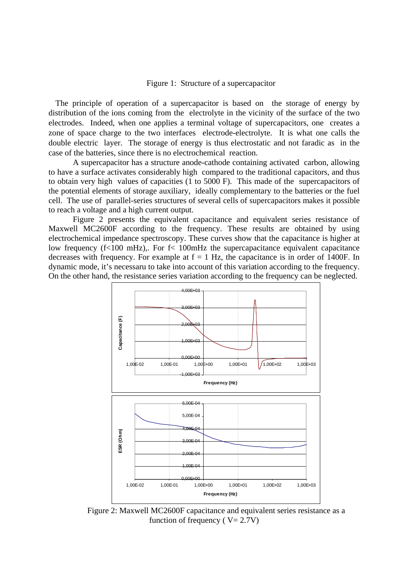#### Figure 1: Structure of a supercapacitor

The principle of operation of a supercapacitor is based on the storage of energy by distribution of the ions coming from the electrolyte in the vicinity of the surface of the two electrodes. Indeed, when one applies a terminal voltage of supercapacitors, one creates a zone of space charge to the two interfaces electrode-electrolyte. It is what one calls the double electric layer. The storage of energy is thus electrostatic and not faradic as in the case of the batteries, since there is no electrochemical reaction.

A supercapacitor has a structure anode-cathode containing activated carbon, allowing to have a surface activates considerably high compared to the traditional capacitors, and thus to obtain very high values of capacities (1 to 5000 F). This made of the supercapacitors of the potential elements of storage auxiliary, ideally complementary to the batteries or the fuel cell. The use of parallel-series structures of several cells of supercapacitors makes it possible to reach a voltage and a high current output.

Figure 2 presents the equivalent capacitance and equivalent series resistance of Maxwell MC2600F according to the frequency. These results are obtained by using electrochemical impedance spectroscopy. These curves show that the capacitance is higher at low frequency ( $f<100$  mHz),. For  $f<100$ mHz the supercapacitance equivalent capacitance decreases with frequency. For example at  $f = 1$  Hz, the capacitance is in order of 1400F. In dynamic mode, it's necessaru to take into account of this variation according to the frequency. On the other hand, the resistance series variation according to the frequency can be neglected.



Figure 2: Maxwell MC2600F capacitance and equivalent series resistance as a function of frequency ( $V = 2.7V$ )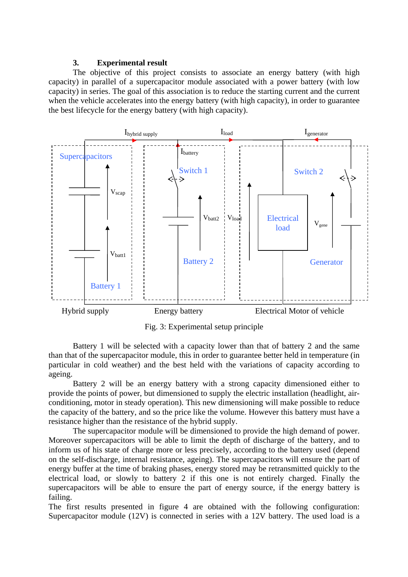# **3. Experimental result**

The objective of this project consists to associate an energy battery (with high capacity) in parallel of a supercapacitor module associated with a power battery (with low capacity) in series. The goal of this association is to reduce the starting current and the current when the vehicle accelerates into the energy battery (with high capacity), in order to guarantee the best lifecycle for the energy battery (with high capacity).



Fig. 3: Experimental setup principle

Battery 1 will be selected with a capacity lower than that of battery 2 and the same than that of the supercapacitor module, this in order to guarantee better held in temperature (in particular in cold weather) and the best held with the variations of capacity according to ageing.

Battery 2 will be an energy battery with a strong capacity dimensioned either to provide the points of power, but dimensioned to supply the electric installation (headlight, airconditioning, motor in steady operation). This new dimensioning will make possible to reduce the capacity of the battery, and so the price like the volume. However this battery must have a resistance higher than the resistance of the hybrid supply.

The supercapacitor module will be dimensioned to provide the high demand of power. Moreover supercapacitors will be able to limit the depth of discharge of the battery, and to inform us of his state of charge more or less precisely, according to the battery used (depend on the self-discharge, internal resistance, ageing). The supercapacitors will ensure the part of energy buffer at the time of braking phases, energy stored may be retransmitted quickly to the electrical load, or slowly to battery 2 if this one is not entirely charged. Finally the supercapacitors will be able to ensure the part of energy source, if the energy battery is failing.

The first results presented in figure 4 are obtained with the following configuration: Supercapacitor module (12V) is connected in series with a 12V battery. The used load is a